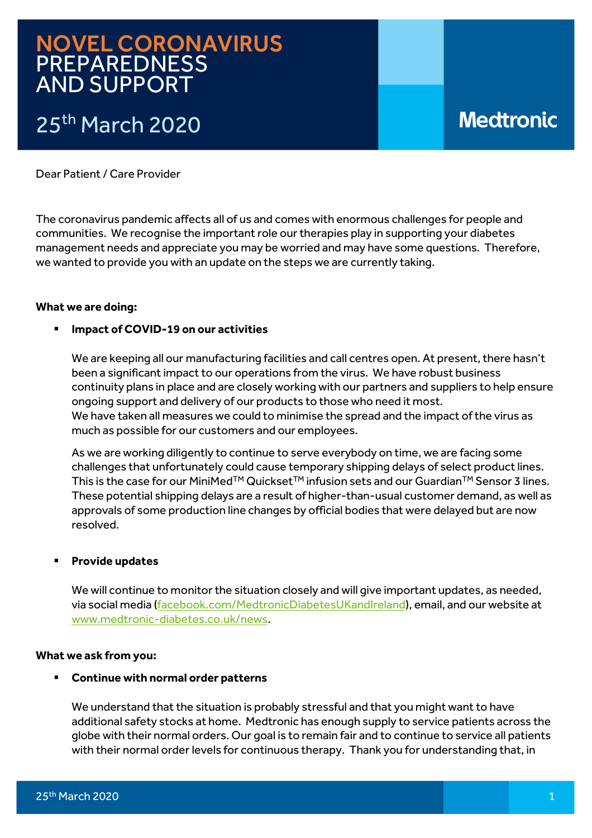## NOVEL CORONAVIRUS PREPAREDNESS AND SUPPORT

# 25<sup>th</sup> March 2020

# **Medtronic**

Dear Patient / Care Provider

The coronavirus pandemic affects all of us and comes with enormous challenges for people and communities. We recognise the important role our therapies play in supporting your diabetes management needs and appreciate you may be worried and may have some questions. Therefore, we wanted to provide you with an update on the steps we are currently taking.

### **What we are doing:**

### **Impact of COVID-19 on our activities**

We are keeping all our manufacturing facilities and call centres open. At present, there hasn't been a significant impact to our operations from the virus. We have robust business continuity plans in place and are closely working with our partners and suppliers to help ensure ongoing support and delivery of our products to those who need it most. We have taken all measures we could to minimise the spread and the impact of the virus as much as possible for our customers and our employees.

As we are working diligently to continue to serve everybody on time, we are facing some challenges that unfortunately could cause temporary shipping delays of select product lines. This is the case for our MiniMed<sup>™</sup> Quickset<sup>™</sup> infusion sets and our Guardian<sup>™</sup> Sensor 3 lines. These potential shipping delays are a result of higher-than-usual customer demand, as well as approvals of some production line changes by official bodies that were delayed but are now resolved.

### **Provide updates**

We will continue to monitor the situation closely and will give important updates, as needed, via social media [\(facebook.com/MedtronicDiabetesUKandIreland\)](http://(www.facebook.com/MedtronicDiabetesUKandIreland), email, and our website at [www.medtronic-diabetes.co.uk/news.](http://www.medtronic-diabetes.co.uk/news)

### **What we ask from you:**

### **Continue with normal order patterns**

We understand that the situation is probably stressful and that you might want to have additional safety stocks at home. Medtronic has enough supply to service patients across the globe with their normal orders. Our goal is to remain fair and to continue to service all patients with their normal order levels for continuous therapy. Thank you for understanding that, in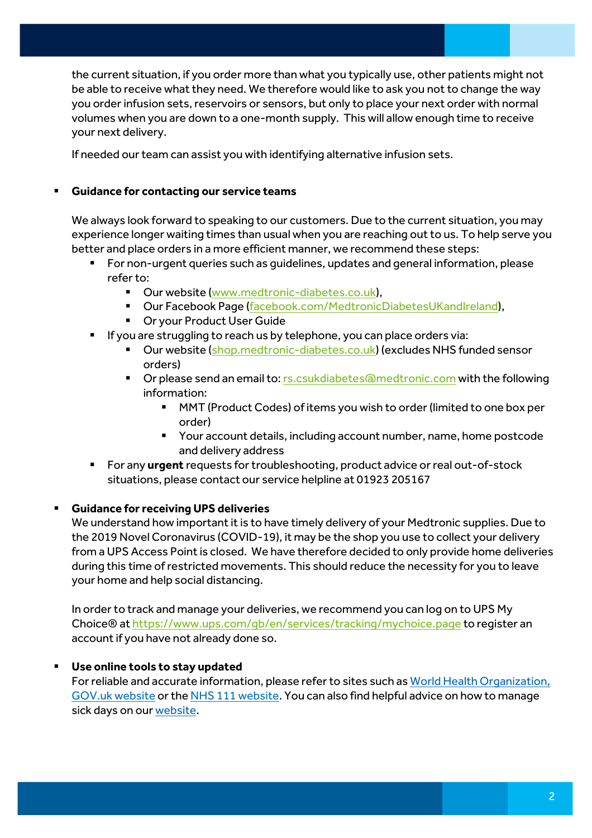the current situation, if you order more than what you typically use, other patients might not be able to receive what they need. We therefore would like to ask you not to change the way you order infusion sets, reservoirs or sensors, but only to place your next order with normal volumes when you are down to a one-month supply. This will allow enough time to receive your next delivery.

If needed our team can assist you with identifying alternative infusion sets.

### **Guidance for contacting our service teams**

We always look forward to speaking to our customers. Due to the current situation, you may experience longer waiting times than usual when you are reaching out to us. To help serve you better and place orders in a more efficient manner, we recommend these steps:

- For non-urgent queries such as guidelines, updates and general information, please refer to:
	- Our website [\(www.medtronic-diabetes.co.uk\)](http://www.medtronic-diabetes.co.uk/),
	- Our Facebook Page [\(facebook.com/MedtronicDiabetesUKandIreland\)](http://(www.facebook.com/MedtronicDiabetesUKandIreland),
	- Or your Product User Guide
- **If you are struggling to reach us by telephone, you can place orders via:** 
	- Our website [\(shop.medtronic-diabetes.co.uk\)](https://shop.medtronic-diabetes.co.uk/) (excludes NHS funded sensor orders)
	- **The Step Send and Step and Step Senson** Scribbers and the following to Corporate Scribbers Communism Corporate following information:
		- MMT (Product Codes) of items you wish to order (limited to one box per order)
		- **P** Your account details, including account number, name, home postcode and delivery address
- For any **urgent** requests for troubleshooting, product advice or real out-of-stock situations, please contact our service helpline at 01923 205167

### **Guidance for receiving UPS deliveries**

We understand how important it is to have timely delivery of your Medtronic supplies. Due to the 2019 Novel Coronavirus (COVID-19), it may be the shop you use to collect your delivery from a UPS Access Point is closed. We have therefore decided to only provide home deliveries during this time of restricted movements. This should reduce the necessity for you to leave your home and help social distancing.

In order to track and manage your deliveries, we recommend you can log on to UPS My Choice® at<https://www.ups.com/gb/en/services/tracking/mychoice.page> to register an account if you have not already done so.

### **Use online tools to stay updated**

For reliable and accurate information, please refer to sites such a[s World Health Organization,](https://www.who.int/emergencies/diseases/novel-coronavirus-2019/advice-for-public) [GOV.uk website](https://www.gov.uk/coronavirus) or th[e NHS 111 website.](https://111.nhs.uk/covid-19) You can also find helpful advice on how to manage sick days on ou[r website.](https://www.medtronic-diabetes.co.uk/blog/sick-day-rules-healthcare-professional-perspective)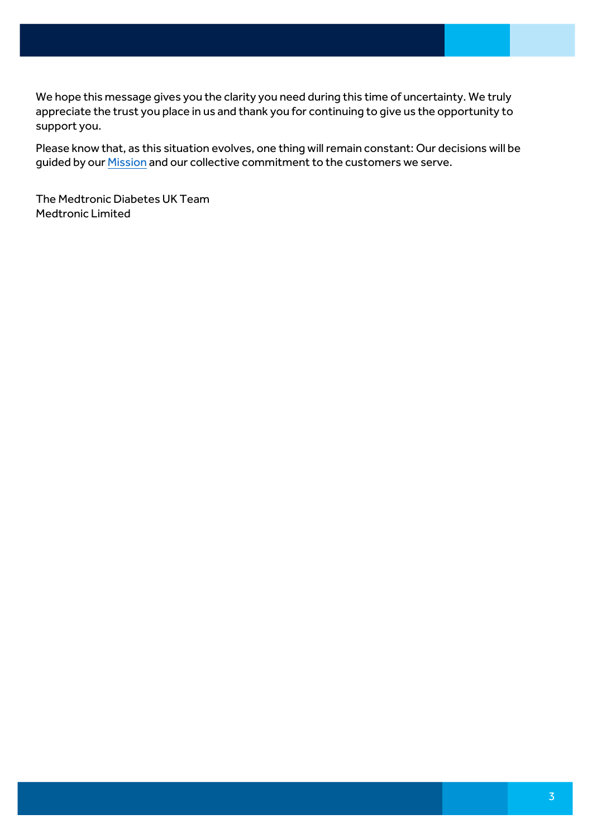We hope this message gives you the clarity you need during this time of uncertainty. We truly appreciate the trust you place in us and thank you for continuing to give us the opportunity to support you.

Please know that, as this situation evolves, one thing will remain constant: Our decisions will be guided by our **Mission** and our collective commitment to the customers we serve.

The Medtronic Diabetes UK Team Medtronic Limited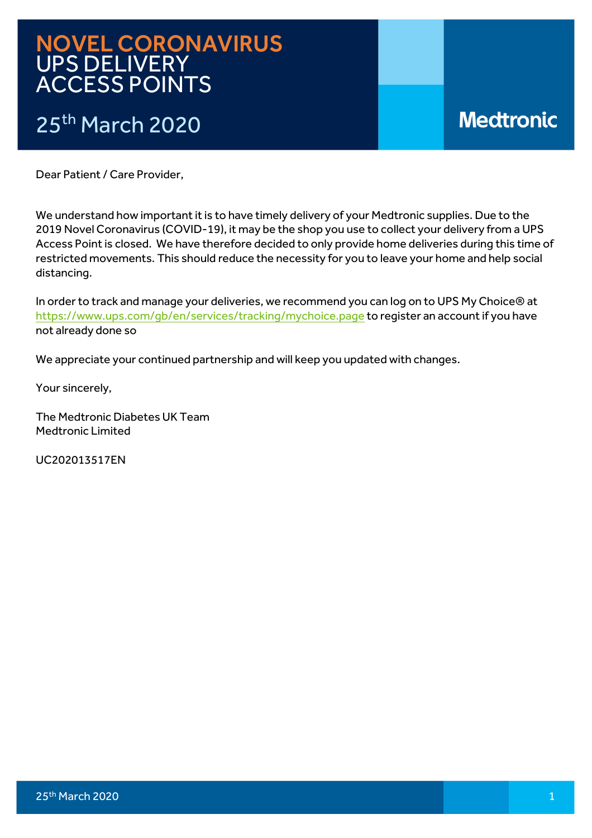## NOVEL CORONAVIRUS UPS DELIVERY ACCESS POINTS

# 25th March 2020

# **Medtronic**

Dear Patient / Care Provider,

We understand how important it is to have timely delivery of your Medtronic supplies. Due to the 2019 Novel Coronavirus (COVID-19), it may be the shop you use to collect your delivery from a UPS Access Point is closed. We have therefore decided to only provide home deliveries during this time of restricted movements. This should reduce the necessity for you to leave your home and help social distancing.

In order to track and manage your deliveries, we recommend you can log on to UPS My Choice® at https://www.ups.com/gb/en/services/tracking/mychoice.page to register an account if you have not already done so

We appreciate your continued partnership and will keep you updated with changes.

Your sincerely,

The Medtronic Diabetes UK Team Medtronic Limited

UC202013517EN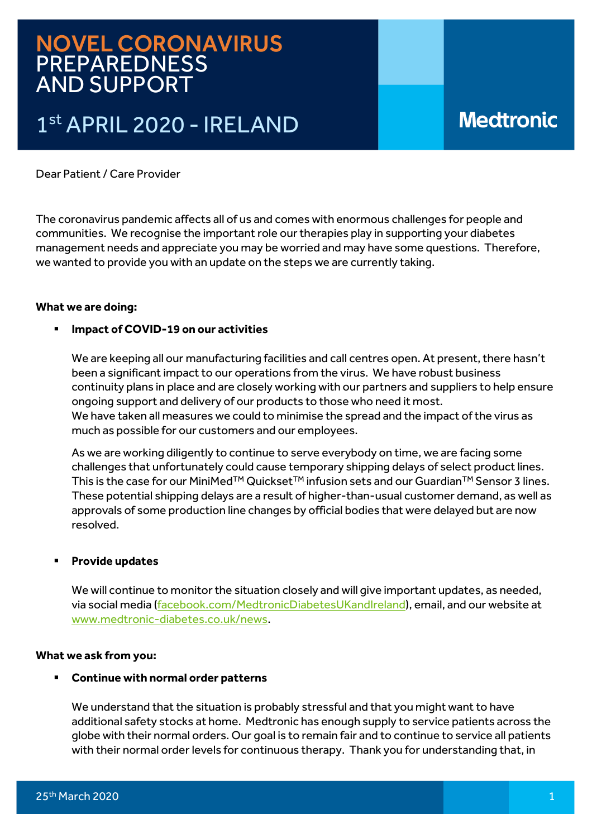## NOVEL CORONAVIRUS PREPAREDNESS AND SUPPORT

# 1st APRIL 2020 - IRELAND

## **Medtronic**

Dear Patient / Care Provider

The coronavirus pandemic affects all of us and comes with enormous challenges for people and communities. We recognise the important role our therapies play in supporting your diabetes management needs and appreciate you may be worried and may have some questions. Therefore, we wanted to provide you with an update on the steps we are currently taking.

### **What we are doing:**

### **Impact of COVID-19 on our activities**

We are keeping all our manufacturing facilities and call centres open. At present, there hasn't been a significant impact to our operations from the virus. We have robust business continuity plans in place and are closely working with our partners and suppliers to help ensure ongoing support and delivery of our products to those who need it most. We have taken all measures we could to minimise the spread and the impact of the virus as much as possible for our customers and our employees.

As we are working diligently to continue to serve everybody on time, we are facing some challenges that unfortunately could cause temporary shipping delays of select product lines. This is the case for our MiniMed<sup>™</sup> Quickset<sup>™</sup> infusion sets and our Guardian<sup>™</sup> Sensor 3 lines. These potential shipping delays are a result of higher-than-usual customer demand, as well as approvals of some production line changes by official bodies that were delayed but are now resolved.

### **Provide updates**

We will continue to monitor the situation closely and will give important updates, as needed, via social media (facebook.com/MedtronicDiabetesUKandIreland), email, and our website at www.medtronic-diabetes.co.uk/news.

### **What we ask from you:**

### **Continue with normal order patterns**

We understand that the situation is probably stressful and that you might want to have additional safety stocks at home. Medtronic has enough supply to service patients across the globe with their normal orders. Our goal is to remain fair and to continue to service all patients with their normal order levels for continuous therapy. Thank you for understanding that, in